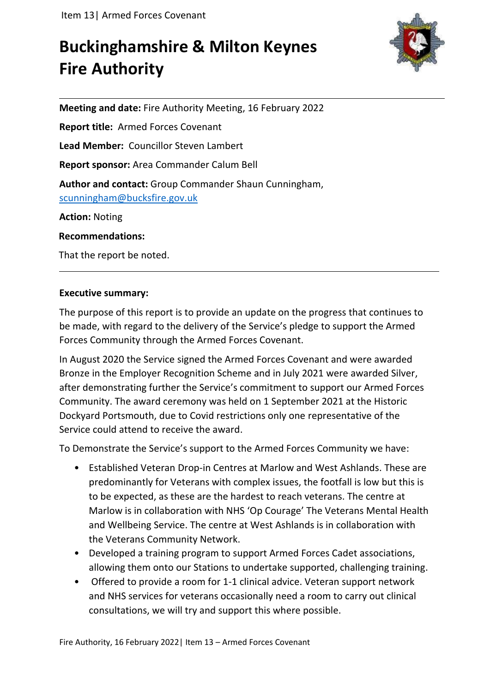# **Buckinghamshire & Milton Keynes Fire Authority**



**Meeting and date:** Fire Authority Meeting, 16 February 2022 **Report title:** Armed Forces Covenant **Lead Member:** Councillor Steven Lambert **Report sponsor:** Area Commander Calum Bell **Author and contact:** Group Commander Shaun Cunningham, [scunningham@bucksfire.gov.uk](mailto:scunningham@bucksfire.gov.uk) **Action:** Noting **Recommendations:**

That the report be noted.

### **Executive summary:**

The purpose of this report is to provide an update on the progress that continues to be made, with regard to the delivery of the Service's pledge to support the Armed Forces Community through the Armed Forces Covenant.

In August 2020 the Service signed the Armed Forces Covenant and were awarded Bronze in the Employer Recognition Scheme and in July 2021 were awarded Silver, after demonstrating further the Service's commitment to support our Armed Forces Community. The award ceremony was held on 1 September 2021 at the Historic Dockyard Portsmouth, due to Covid restrictions only one representative of the Service could attend to receive the award.

To Demonstrate the Service's support to the Armed Forces Community we have:

- Established Veteran Drop-in Centres at Marlow and West Ashlands. These are predominantly for Veterans with complex issues, the footfall is low but this is to be expected, as these are the hardest to reach veterans. The centre at Marlow is in collaboration with NHS 'Op Courage' The Veterans Mental Health and Wellbeing Service. The centre at West Ashlands is in collaboration with the Veterans Community Network.
- Developed a training program to support Armed Forces Cadet associations, allowing them onto our Stations to undertake supported, challenging training.
- Offered to provide a room for 1-1 clinical advice. Veteran support network and NHS services for veterans occasionally need a room to carry out clinical consultations, we will try and support this where possible.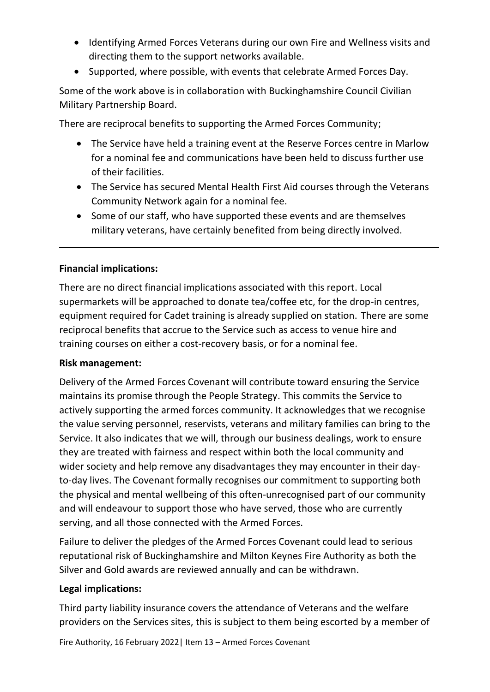- Identifying Armed Forces Veterans during our own Fire and Wellness visits and directing them to the support networks available.
- Supported, where possible, with events that celebrate Armed Forces Day.

Some of the work above is in collaboration with Buckinghamshire Council Civilian Military Partnership Board.

There are reciprocal benefits to supporting the Armed Forces Community;

- The Service have held a training event at the Reserve Forces centre in Marlow for a nominal fee and communications have been held to discuss further use of their facilities.
- The Service has secured Mental Health First Aid courses through the Veterans Community Network again for a nominal fee.
- Some of our staff, who have supported these events and are themselves military veterans, have certainly benefited from being directly involved.

## **Financial implications:**

There are no direct financial implications associated with this report. Local supermarkets will be approached to donate tea/coffee etc, for the drop-in centres, equipment required for Cadet training is already supplied on station. There are some reciprocal benefits that accrue to the Service such as access to venue hire and training courses on either a cost-recovery basis, or for a nominal fee.

### **Risk management:**

Delivery of the Armed Forces Covenant will contribute toward ensuring the Service maintains its promise through the People Strategy. This commits the Service to actively supporting the armed forces community. It acknowledges that we recognise the value serving personnel, reservists, veterans and military families can bring to the Service. It also indicates that we will, through our business dealings, work to ensure they are treated with fairness and respect within both the local community and wider society and help remove any disadvantages they may encounter in their dayto-day lives. The Covenant formally recognises our commitment to supporting both the physical and mental wellbeing of this often-unrecognised part of our community and will endeavour to support those who have served, those who are currently serving, and all those connected with the Armed Forces.

Failure to deliver the pledges of the Armed Forces Covenant could lead to serious reputational risk of Buckinghamshire and Milton Keynes Fire Authority as both the Silver and Gold awards are reviewed annually and can be withdrawn.

### **Legal implications:**

Third party liability insurance covers the attendance of Veterans and the welfare providers on the Services sites, this is subject to them being escorted by a member of

Fire Authority, 16 February 2022| Item 13 – Armed Forces Covenant